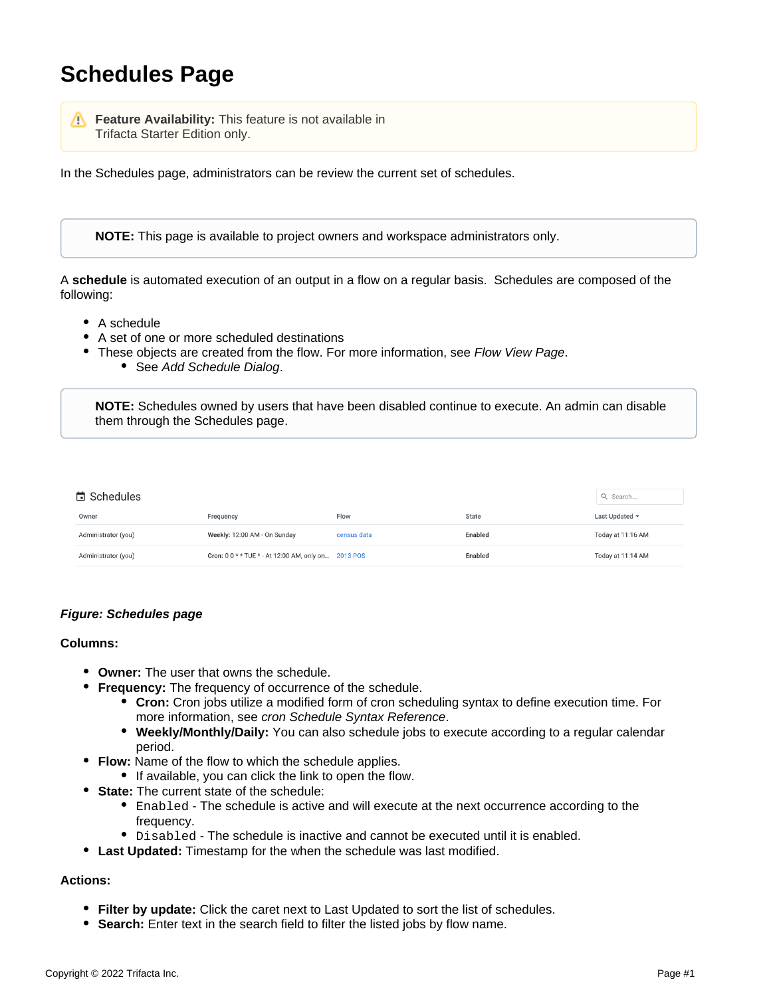# **Schedules Page**

**Feature Availability:** This feature is not available in Trifacta Starter Edition only.

In the Schedules page, administrators can be review the current set of schedules.

**NOTE:** This page is available to project owners and workspace administrators only.

A **schedule** is automated execution of an output in a flow on a regular basis. Schedules are composed of the following:

- A schedule
- A set of one or more scheduled destinations
- These objects are created from the flow. For more information, see [Flow View Page](https://docs.trifacta.com/display/AWS/Flow+View+Page). • See [Add Schedule Dialog](https://docs.trifacta.com/display/AWS/Add+Schedule+Dialog).

**NOTE:** Schedules owned by users that have been disabled continue to execute. An admin can disable them through the Schedules page.

| <b>■</b> Schedules  |                                                     |             |         | Q Search            |
|---------------------|-----------------------------------------------------|-------------|---------|---------------------|
| Owner               | Frequency                                           | Flow        | State   | Last Updated $\sim$ |
| Administrator (you) | Weekly: 12:00 AM - On Sunday                        | census data | Enabled | Today at 11:16 AM   |
| Administrator (you) | Cron: 0 0 * * TUE * - At 12:00 AM, only on 2013 POS |             | Enabled | Today at 11:14 AM   |

## **Figure: Schedules page**

### **Columns:**

- **Owner:** The user that owns the schedule.
- **Frequency:** The frequency of occurrence of the schedule.
	- **Cron:** Cron jobs utilize a modified form of cron scheduling syntax to define execution time. For more information, see [cron Schedule Syntax Reference](https://docs.trifacta.com/display/AWS/cron+Schedule+Syntax+Reference).
	- **Weekly/Monthly/Daily:** You can also schedule jobs to execute according to a regular calendar period.
- **Flow:** Name of the flow to which the schedule applies.
	- If available, you can click the link to open the flow.
- **State:** The current state of the schedule:
	- Enabled The schedule is active and will execute at the next occurrence according to the frequency.
	- $\bullet$  Disabled The schedule is inactive and cannot be executed until it is enabled.
- **Last Updated:** Timestamp for the when the schedule was last modified.

#### **Actions:**

- **Filter by update:** Click the caret next to Last Updated to sort the list of schedules.
- **Search:** Enter text in the search field to filter the listed jobs by flow name.